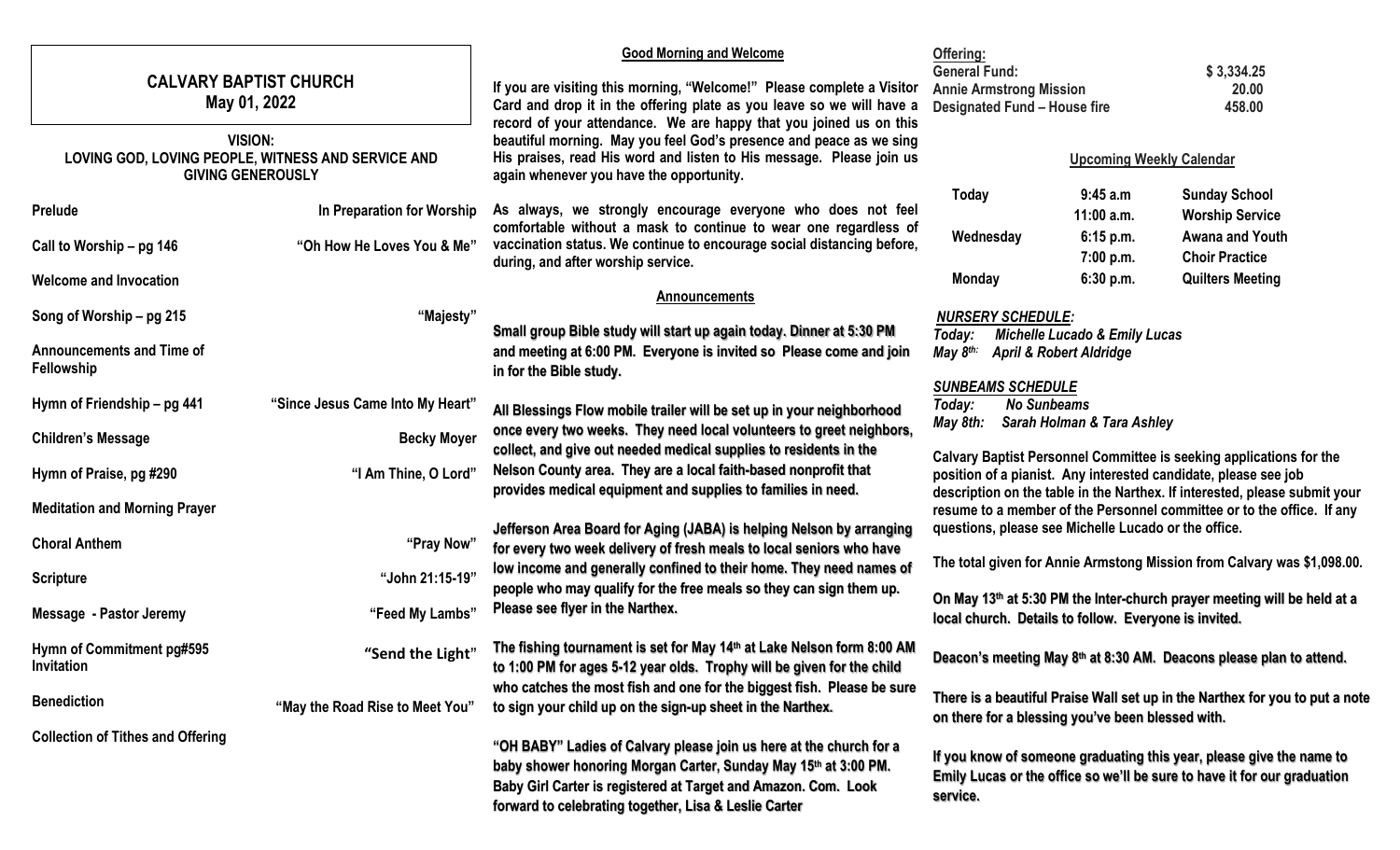| <b>CALVARY BAPTIST CHURCH</b><br>May 01, 2022      |                                                                                                                                             | <b>Good Morning and Welcome</b><br>Offering:                                                                                                     |                                                                                                                                                  |                            |                                                                            |
|----------------------------------------------------|---------------------------------------------------------------------------------------------------------------------------------------------|--------------------------------------------------------------------------------------------------------------------------------------------------|--------------------------------------------------------------------------------------------------------------------------------------------------|----------------------------|----------------------------------------------------------------------------|
|                                                    |                                                                                                                                             | If you are visiting this morning, "Welcome!" Please complete a Visitor                                                                           | <b>General Fund:</b><br>\$3,334.25<br><b>Annie Armstrong Mission</b><br>20.00<br><b>Designated Fund - House fire</b><br>458.00                   |                            |                                                                            |
|                                                    |                                                                                                                                             | Card and drop it in the offering plate as you leave so we will have a                                                                            |                                                                                                                                                  |                            |                                                                            |
| <b>VISION:</b>                                     |                                                                                                                                             | record of your attendance. We are happy that you joined us on this<br>beautiful morning. May you feel God's presence and peace as we sing        |                                                                                                                                                  |                            |                                                                            |
| LOVING GOD, LOVING PEOPLE, WITNESS AND SERVICE AND |                                                                                                                                             | His praises, read His word and listen to His message. Please join us                                                                             | <b>Upcoming Weekly Calendar</b>                                                                                                                  |                            |                                                                            |
| <b>GIVING GENEROUSLY</b>                           |                                                                                                                                             | again whenever you have the opportunity.                                                                                                         | Today                                                                                                                                            | 9:45 a.m                   | <b>Sunday School</b>                                                       |
| Prelude                                            | In Preparation for Worship                                                                                                                  | As always, we strongly encourage everyone who does not feel                                                                                      |                                                                                                                                                  | $11:00$ a.m.               | <b>Worship Service</b>                                                     |
|                                                    |                                                                                                                                             | comfortable without a mask to continue to wear one regardless of                                                                                 | Wednesday                                                                                                                                        | 6:15 p.m.                  | Awana and Youth                                                            |
| Call to Worship - pg 146                           | "Oh How He Loves You & Me"                                                                                                                  | vaccination status. We continue to encourage social distancing before,<br>during, and after worship service.                                     |                                                                                                                                                  | 7:00 p.m.                  | <b>Choir Practice</b>                                                      |
| <b>Welcome and Invocation</b>                      |                                                                                                                                             |                                                                                                                                                  | <b>Monday</b>                                                                                                                                    | 6:30 p.m.                  | <b>Quilters Meeting</b>                                                    |
|                                                    |                                                                                                                                             | <b>Announcements</b>                                                                                                                             |                                                                                                                                                  |                            |                                                                            |
| Song of Worship - pg 215                           | "Majesty"                                                                                                                                   |                                                                                                                                                  | <b>NURSERY SCHEDULE:</b>                                                                                                                         |                            |                                                                            |
| <b>Announcements and Time of</b>                   | Small group Bible study will start up again today. Dinner at 5:30 PM<br>and meeting at 6:00 PM. Everyone is invited so Please come and join |                                                                                                                                                  | <b>Michelle Lucado &amp; Emily Lucas</b><br>Today:<br>May 8 <sup>th:</sup><br><b>April &amp; Robert Aldridge</b>                                 |                            |                                                                            |
| Fellowship                                         |                                                                                                                                             | in for the Bible study.                                                                                                                          |                                                                                                                                                  |                            |                                                                            |
|                                                    |                                                                                                                                             |                                                                                                                                                  | <b>SUNBEAMS SCHEDULE</b>                                                                                                                         |                            |                                                                            |
| Hymn of Friendship - pg 441                        | "Since Jesus Came Into My Heart"                                                                                                            | All Blessings Flow mobile trailer will be set up in your neighborhood                                                                            | <b>No Sunbeams</b><br>Today:                                                                                                                     |                            |                                                                            |
| <b>Children's Message</b>                          | <b>Becky Moyer</b>                                                                                                                          | once every two weeks. They need local volunteers to greet neighbors,                                                                             | May 8th:                                                                                                                                         | Sarah Holman & Tara Ashley |                                                                            |
|                                                    |                                                                                                                                             | collect, and give out needed medical supplies to residents in the                                                                                |                                                                                                                                                  |                            | Calvary Baptist Personnel Committee is seeking applications for the        |
| Hymn of Praise, pg #290                            | "I Am Thine, O Lord"                                                                                                                        | Nelson County area. They are a local faith-based nonprofit that                                                                                  |                                                                                                                                                  |                            | position of a pianist. Any interested candidate, please see job            |
| <b>Meditation and Morning Prayer</b>               |                                                                                                                                             | provides medical equipment and supplies to families in need.                                                                                     |                                                                                                                                                  |                            | description on the table in the Narthex. If interested, please submit your |
|                                                    |                                                                                                                                             | Jefferson Area Board for Aging (JABA) is helping Nelson by arranging                                                                             |                                                                                                                                                  |                            | resume to a member of the Personnel committee or to the office. If any     |
| <b>Choral Anthem</b>                               | "Pray Now"                                                                                                                                  | for every two week delivery of fresh meals to local seniors who have                                                                             | questions, please see Michelle Lucado or the office.                                                                                             |                            |                                                                            |
|                                                    |                                                                                                                                             | low income and generally confined to their home. They need names of                                                                              | The total given for Annie Armstong Mission from Calvary was \$1,098.00.                                                                          |                            |                                                                            |
| <b>Scripture</b>                                   | "John 21:15-19"                                                                                                                             | people who may qualify for the free meals so they can sign them up.                                                                              | On May 13th at 5:30 PM the Inter-church prayer meeting will be held at a<br>local church. Details to follow. Everyone is invited.                |                            |                                                                            |
| <b>Message - Pastor Jeremy</b>                     | "Feed My Lambs"                                                                                                                             | Please see flyer in the Narthex.                                                                                                                 |                                                                                                                                                  |                            |                                                                            |
|                                                    |                                                                                                                                             |                                                                                                                                                  |                                                                                                                                                  |                            |                                                                            |
| Hymn of Commitment pg#595                          | "Send the Light"                                                                                                                            | The fishing tournament is set for May 14th at Lake Nelson form 8:00 AM                                                                           |                                                                                                                                                  |                            | Deacon's meeting May 8th at 8:30 AM. Deacons please plan to attend.        |
| Invitation                                         |                                                                                                                                             | to 1:00 PM for ages 5-12 year olds. Trophy will be given for the child<br>who catches the most fish and one for the biggest fish. Please be sure |                                                                                                                                                  |                            |                                                                            |
| <b>Benediction</b>                                 | "May the Road Rise to Meet You"                                                                                                             | to sign your child up on the sign-up sheet in the Narthex.                                                                                       | There is a beautiful Praise Wall set up in the Narthex for you to put a note<br>on there for a blessing you've been blessed with.                |                            |                                                                            |
|                                                    |                                                                                                                                             |                                                                                                                                                  |                                                                                                                                                  |                            |                                                                            |
| <b>Collection of Tithes and Offering</b>           |                                                                                                                                             | "OH BABY" Ladies of Calvary please join us here at the church for a                                                                              |                                                                                                                                                  |                            |                                                                            |
|                                                    |                                                                                                                                             | baby shower honoring Morgan Carter, Sunday May 15th at 3:00 PM.                                                                                  | If you know of someone graduating this year, please give the name to<br>Emily Lucas or the office so we'll be sure to have it for our graduation |                            |                                                                            |
|                                                    |                                                                                                                                             | Baby Girl Carter is registered at Target and Amazon. Com. Look                                                                                   | service.                                                                                                                                         |                            |                                                                            |
|                                                    |                                                                                                                                             | forward to celebrating together, Lisa & Leslie Carter                                                                                            |                                                                                                                                                  |                            |                                                                            |